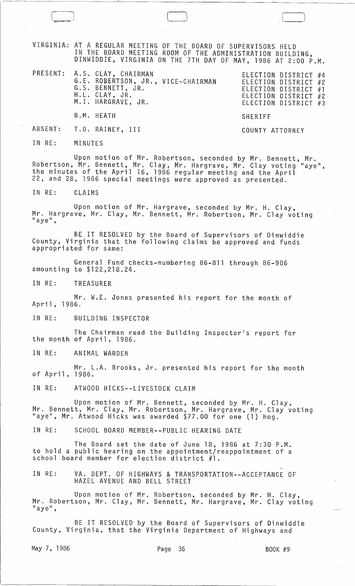VIRGINIA: AT A REGULAR MEETING OF THE BOARD OF SUPERVISORS HELD IN THE BOARD MEETING ROOM OF THE ADMINISTRATION BUILDING, DINWIDDIE, VIRGINIA ON THE 7TH DAY OF MAY, 1986 AT 2:00 P.M.

|  | PRESENT: A.S. CLAY, CHAIRMAN<br>G.E. ROBERTSON, JR., VICE-CHAIRMAN<br>G.S. BENNETT, JR.<br>H.L. CLAY, JR.<br>M.I. HARGRAVE, JR. |         | ELECTION DISTRICT #4<br>ELECTION DISTRICT #2<br>ELECTION DISTRICT #1<br>ELECTION DISTRICT #2<br>ELECTION DISTRICT #3 |  |
|--|---------------------------------------------------------------------------------------------------------------------------------|---------|----------------------------------------------------------------------------------------------------------------------|--|
|  | B.M. HEATH                                                                                                                      | SHERIFF |                                                                                                                      |  |

## ABSENT: T.O. RAINEY, III COUNTY ATTORNEY

IN RE: MINUTES

---~--

Upon motion of Mr. Robertson, seconded by Mr. Bennett, Mr. Robertson, Mr. Bennett, Mr. Clay, Mr. Hargrave, Mr. Clay voting "aye", the minutes of the April 16, 1986 regular meeting and the April 22, and 28, 1986 special meetings Were approved as presented.

IN RE: CLAIMS

Upon motion of Mr. Hargrave, seconded by Mr. H. Clay, Mr. Hargrave, Mr. Clay, Mr. Bennett, Mr. Robertson, Mr. Clay voting<br>"aye",

BE IT RESOLVED by the Board of Supervisors of Dinwiddie County, Virginia that the following claims be approved and funds appropriated for same:

General Fund checks-numbering 86-811 through 86-906 amounting to \$122,218.24.

IN RE: TREASURER

Mr. W.E. Jones presented his report for the month of April, 1986.

IN RE: BUILDING INSPECTOR

The Chairman read the Building Inspector's report for the month of April, 1986.

IN RE: ANIMAL WARDEN

Mr. L.A. Brooks, Jr. presented his report for the month of April, 1986.

IN RE: ATWOOD HICKS--LIVESTOCK CLAIM

Upon motion of Mr. Bennett, seconded by Mr. H. Clay, Mr. Bennett, Mr. Clay, Mr. Robertson, Mr. Hargrave, Mr. Clay voting "aye", Mr. Atwood Hicks was awarded \$77.00 for one (1) hog.

IN RE: SCHOOL BOARD MEMBER--PUBLIC HEARING DATE

The Board set the date of June 18, 1986 at 7:30 P.M. to hold a public hearing on the appointment/reappointment of a school board member for election district #1.

IN RE: VA. DEPT. OF HIGHWAYS & TRANSPORTATION--ACCEPTANCE OF HAZEL AVENUE AND BELL STREET

Upon motion of Mr. Robertson, seconded by Mr. H. Clay, Mr. Robertson, Mr. Clay, Mr. Bennett, Mr. Hargrave, Mr. Clay voting  $"$ aye",

BE IT RESOLVED by the Board of Supervisors of Dinwiddie County, Virginia, that the Virginia Department of Highways and

May 7, 1986 **Page 36** BOOK #9

 $\Box$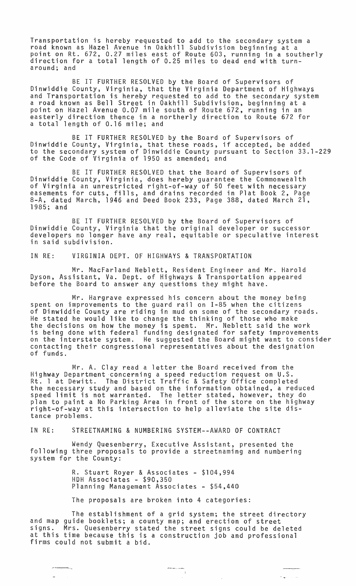Transportation is hereby requested to add to the secondary system a road known as Hazel Avenue in Oakhill Subdivision beginning at a point on Rt. 672, 0.27 miles east of Route 603, running in a southerly direction for a total length of 0.25 miles to dead end with turnaround; and

BE IT FURTHER RESOLVED by the Board of Supervisors of Dinwiddie County, Virginia, that the Virginia Department of Highways and Transportation is hereby requested to add to the secondary system a road known as Bell Street in Oakhill Subdivision, beginning at a point on Hazel Avenue 0.07 mile south of Route 672, running in an easterly direction thence in a northerly direction to Route 672 for a total length of 0.16 mile; and

BE IT FURTHER RESOLVED by the Board of Supervisors of Dinwiddie County, Virginia, that these roads, if accepted, be added to the secondary system of Dinwiddie County pursuant to Section 33.1-229 of the Code of Virginia of 1950 as amended; and

BE IT FURTHER RESOLVED that the Board of Supervisors of Dinwiddie County, Virginia, does hereby guarantee the Commonwealth of Virginia an unrestricted right-of-way of 50 feet with necessary easements for cuts, fills, and drains recorded in Plat Book 2, Page 8-A, dated March, 1946 and Deed Book 233, Page 388, dated March 21, 1985; and

BE IT FURTHER RESOLVED by the Board of Supervisors of Dinwiddie County, Virginia that the original developer or successor developers no longer have any real, equitable or speculative interest in said subdivision.

IN RE: VIRGINIA DEPT. OF HIGHWAYS & TRANSPORTATION

Mr. MacFarland Neblett, Resident Engineer and Mr. Harold Dyson, Assistant, Va. Dept. of Highways & Transportation appeared before the Board to answer any questions they might have.

Mr. Hargrave expressed his concern about the money being spent on improvements to the guard rail on 1-85 when the citizens of Dinwiddie County are riding in mud on some of the secondary roads. He stated he would like to change the thinking of those who make the decisions on how the money is spent. Mr. Neblett said the work is being done with federal funding designated for safety improvements on the interstate system. He suggested the Board might want to consider contacting their congressional representatives about the designation of funds.

Mr. A. Clay read a letter the Board received from the Highway Department concerning a speed reduction request on U.S.  $\,$ Rt. 1 at Dewitt. The District Traffic & Safety Office completed the necessary study and based on the information obtained, a reduced speed limit is not warranted. The letter stated, however, they do plan to paint a No Parking Area in front of the store on the highway right-of-way at this intersection to help alleviate the site distance problems.

IN RE: STREETNAMING & NUMBERING SYSTEM--AWARD OF CONTRACT

Wendy Quesenberry, Executive Assistant, presented the following three proposals to provide a streetnaming and numbering system for the County:

> R. Stuart Royer & Associates - \$104,994 HDH Associates - \$90,350 Planning Management Associates - \$54,440

The proposals are broken into 4 categories:

The establishment of a grid system; the street directory and map guide booklets; a county map; and erection of street signs. Mrs. Quesenberry stated the street signs could be deleted at this time because this is a construction job and professional firms could not submit a bid.

 $\sim 10^{-1}$ 

 $\hat{N}_{\rm{max}}$  ,  $\hat{N}_{\rm{max}}$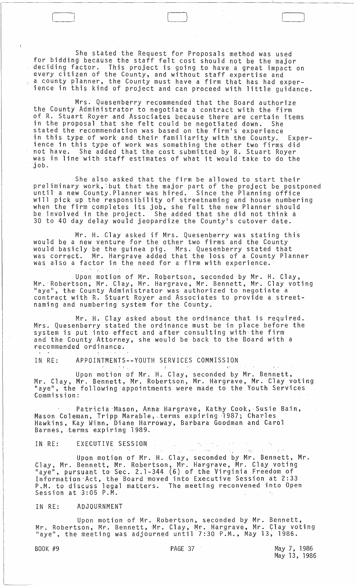She stated the Request for Proposals method was used for bidding because the staff felt cost should not be the major deciding factor. This project is going to have a great impact on every citizen of the County, and without staff expertise and a county planner, the County must have a firm that has had experience in this kind of project and can proceed with little guidance.

 $\Box$ 

Mrs. Quesenberry recommended that the Board authorize the County Administrator to negotiate a contract with the firm of R. Stuart Royer and Associates because there are certain items in the proposal that she felt could be negotiated down. She stated the recommendation was based on the firm's experience in this type of work and their familiarity with the County. Experience in this type of work was something the other two firms did not have. She added that the cost submitted by R. Stuart Royer was in line with staff estimates of what it would take to do the job.

. She also asked that the firm be allowed to start their preliminary work, but that the major part of the project be postponed until a new County, Planner was hired. Since the Planning office will pick up the responsibility of streetnaming and house numbering when the firm completes its job, she felt the new Planner should be involved in the project. She added that she did not think a 30 to 40 day delay would jeopardize the County's cutover date.

Mr. H. Clay asked if Mrs. Quesenberry was stating this would be a new venture for the other two firms and the County would.basicly be the guinea pig. Mrs. Quesenberry stated that was correct. Mr. Hargrave added that the loss of a County Planner was also a factor in the need for a firm with experience.

Upon motion of Mr. Robertson, seconded by Mr. H. Clay, Mr. Robertson, Mr. Clay, Mr. Hargrave, Mr. Bennett, Mr. Clay voting<br>"aye", the County Administrator was authorized to negotiate a contract with R. Stuart Royer and Associates to provide a streetnaming and numbering system for the County.

Mr. H. Clay asked about the ordinance that is required. Mrs. Quesenberry stated the ordinance must be in place before the system is put into effect and after consulting with the firm and the County Attorney, she would be back to the Board with a recommended ordinance.

IN RE: APPOINTMENTS--YOUTH SERVICES COMMISSION

Upon motion of Mr. H. Clay, seconded by Mr. Bennett, Mr. Clay, Mr. Bennett, Mr. Robertson, Mr. Hargrave, Mr. Clay voting "aye", the following appointments were made to the Youth Services Commission:

Patricia -Mason, Anna Hargrave, Kathy Cook,· Susie Bain, Mason Coleman, Tripp Marable; .. terms expir.ing ·1987; Charles Hawkins, Kay Winn, Diane Harroway, Barbara Goodman and Carol Barnes, ·terms expiring 1989.

IN RE: EXECUTIVE SESSION - , journalist and the set of the set of the set of the set of the set of the set of the set of the set of the set of the set of the set of the set of the set of the set of the set of the set of th

Upon motion of Mr. H. Clay, seconded by Mr. Bennett, Mr. Clay, Mr. Bennett, Mr. Robertson, Mr. Hargrave, Mr. Clay voting "aye", pursuant to Sec. 2.1-344 (6) of the Virginia Freedom of Information"Act, the Board moved into Executive Session at 2:33 P.M. to discuss legal matters. The meeting reconvened into Open Session at 3:05 P.M.

IN RE: ADJOURNMENT

Upon motion of Mr. Robertson, seconded by Mr. Bennett, Mr. Robertson, Mr. Bennett, Mr. Clay, Mr. Hargrave, Mr. Clay voting<br>"aye", the meeting was adjourned until 7:30 P.M., May 13, 1986.

BOOK #9 PAGE 37 May 7, 1986 May 13, 1986